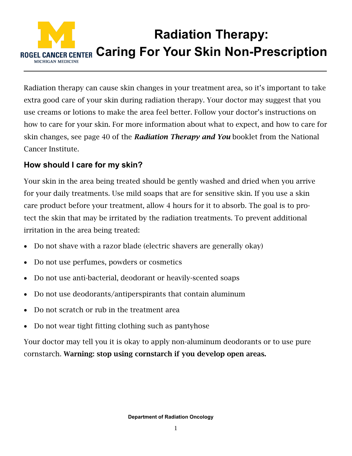

Radiation therapy can cause skin changes in your treatment area, so it's important to take extra good care of your skin during radiation therapy. Your doctor may suggest that you use creams or lotions to make the area feel better. Follow your doctor's instructions on how to care for your skin. For more information about what to expect, and how to care for skin changes, see page 40 of the *Radiation Therapy and You* booklet from the National Cancer Institute.

## **How should I care for my skin?**

Your skin in the area being treated should be gently washed and dried when you arrive for your daily treatments. Use mild soaps that are for sensitive skin. If you use a skin care product before your treatment, allow 4 hours for it to absorb. The goal is to protect the skin that may be irritated by the radiation treatments. To prevent additional irritation in the area being treated:

- Do not shave with a razor blade (electric shavers are generally okay)
- Do not use perfumes, powders or cosmetics
- Do not use anti-bacterial, deodorant or heavily-scented soaps
- Do not use deodorants/antiperspirants that contain aluminum
- Do not scratch or rub in the treatment area
- Do not wear tight fitting clothing such as pantyhose

Your doctor may tell you it is okay to apply non-aluminum deodorants or to use pure cornstarch. Warning: stop using cornstarch if you develop open areas.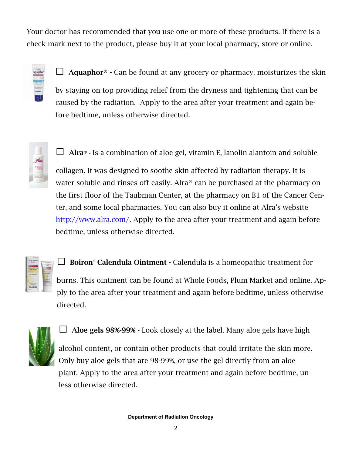Your doctor has recommended that you use one or more of these products. If there is a check mark next to the product, please buy it at your local pharmacy, store or online.

| aphor |  |
|-------|--|
|       |  |
|       |  |
|       |  |
|       |  |
|       |  |

 $\Box$  **Aquaphor**<sup>®</sup>  $\cdot$  Can be found at any grocery or pharmacy, moisturizes the skin by staying on top providing relief from the dryness and tightening that can be caused by the radiation. Apply to the area after your treatment and again before bedtime, unless otherwise directed.



**□** Alra® - Is a combination of aloe gel, vitamin E, lanolin alantoin and soluble

collagen. It was designed to soothe skin affected by radiation therapy. It is water soluble and rinses off easily. Alra® can be purchased at the pharmacy on the first floor of the Taubman Center, at the pharmacy on B1 of the Cancer Center, and some local pharmacies. You can also buy it online at Alra's website [http://www.alra.com/.](http://www.alra.com/) Apply to the area after your treatment and again before bedtime, unless otherwise directed.



**□** Boiron® Calendula Ointment - Calendula is a homeopathic treatment for

burns. This ointment can be found at Whole Foods, Plum Market and online. Apply to the area after your treatment and again before bedtime, unless otherwise directed.



**□** Aloe gels 98%-99% - Look closely at the label. Many aloe gels have high

alcohol content, or contain other products that could irritate the skin more. Only buy aloe gels that are 98-99%, or use the gel directly from an aloe plant. Apply to the area after your treatment and again before bedtime, unless otherwise directed.